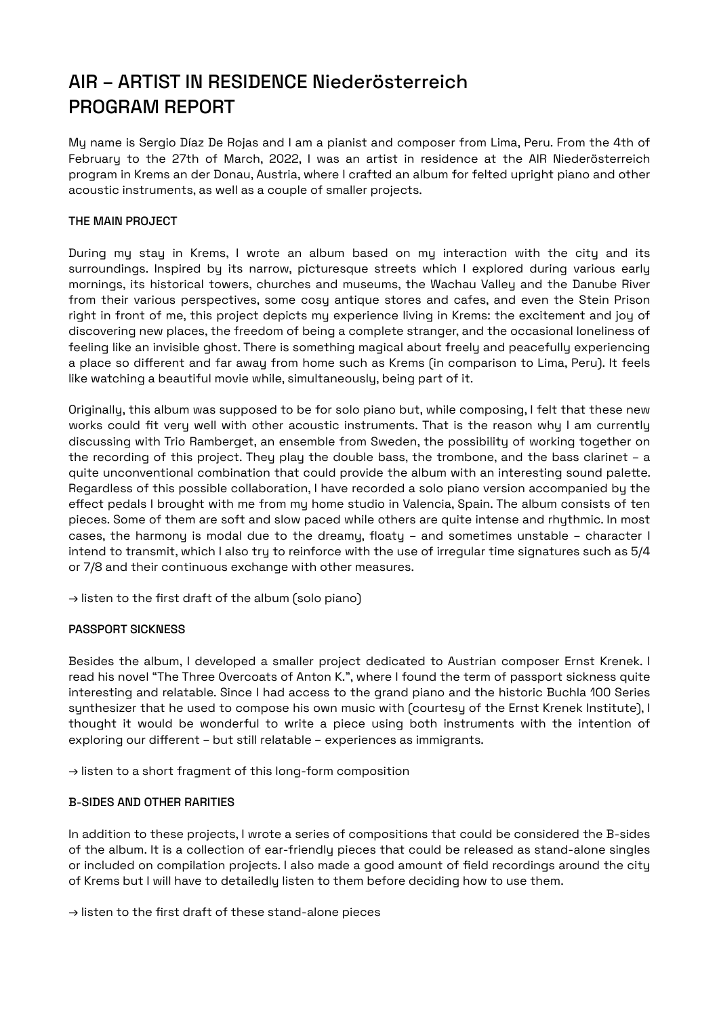# AIR – ARTIST IN RESIDENCE Niederösterreich PROGRAM REPORT

My name is Sergio Díaz De Rojas and I am a pianist and composer from Lima, Peru. From the 4th of February to the 27th of March, 2022, I was an artist in residence at the AIR Niederösterreich program in Krems an der Donau, Austria, where I crafted an album for felted upright piano and other acoustic instruments, as well as a couple of smaller projects.

## THE MAIN PROJECT

During my stay in Krems, I wrote an album based on my interaction with the city and its surroundings. Inspired by its narrow, picturesque streets which I explored during various early mornings, its historical towers, churches and museums, the Wachau Valley and the Danube River from their various perspectives, some cosy antique stores and cafes, and even the Stein Prison right in front of me, this project depicts my experience living in Krems: the excitement and joy of discovering new places, the freedom of being a complete stranger, and the occasional loneliness of feeling like an invisible ghost. There is something magical about freely and peacefully experiencing a place so different and far away from home such as Krems (in comparison to Lima, Peru). It feels like watching a beautiful movie while, simultaneously, being part of it.

Originally, this album was supposed to be for solo piano but, while composing, I felt that these new works could fit very well with other acoustic instruments. That is the reason why I am currently discussing with Trio Ramberget, an ensemble from Sweden, the possibility of working together on the recording of this project. They play the double bass, the trombone, and the bass clarinet – a quite unconventional combination that could provide the album with an interesting sound palete. Regardless of this possible collaboration, I have recorded a solo piano version accompanied by the effect pedals I brought with me from my home studio in Valencia, Spain. The album consists of ten pieces. Some of them are soft and slow paced while others are quite intense and rhythmic. In most cases, the harmony is modal due to the dreamy, floaty – and sometimes unstable – character I intend to transmit, which I also try to reinforce with the use of irregular time signatures such as 5/4 or 7/8 and their continuous exchange with other measures.

→ [listen to the first draft of the album \(solo piano\)](https://soundcloud.com/bonjoursergio/sets/air-artist-in-residence-niederosterreich/s-lI3PXXMINOR?utm_source=clipboard&utm_medium=text&utm_campaign=social_sharing)

#### PASSPORT SICKNESS

Besides the album, I developed a smaller project dedicated to Austrian composer Ernst Krenek. I read his novel "The Three Overcoats of Anton K.", where I found the term of passport sickness quite interesting and relatable. Since I had access to the grand piano and the historic Buchla 100 Series synthesizer that he used to compose his own music with (courtesy of the Ernst Krenek Institute), I thought it would be wonderful to write a piece using both instruments with the intention of exploring our different – but still relatable – experiences as immigrants.

→ [listen to a short fragment of this long-form composition](https://soundcloud.com/bonjoursergio/passport-sickness-short-fragment/s-xKZyw3FJGma?utm_source=clipboard&utm_medium=text&utm_campaign=social_sharing)

## B-SIDES AND OTHER RARITIES

In addition to these projects, I wrote a series of compositions that could be considered the B-sides of the album. It is a collection of ear-friendly pieces that could be released as stand-alone singles or included on compilation projects. I also made a good amount of field recordings around the city of Krems but I will have to detailedly listen to them before deciding how to use them.

→ [listen to the first draft of these stand-alone pieces](https://soundcloud.com/bonjoursergio/sets/b-sides-and-rarities/s-AI30k3E8gs8?utm_source=clipboard&utm_medium=text&utm_campaign=social_sharing)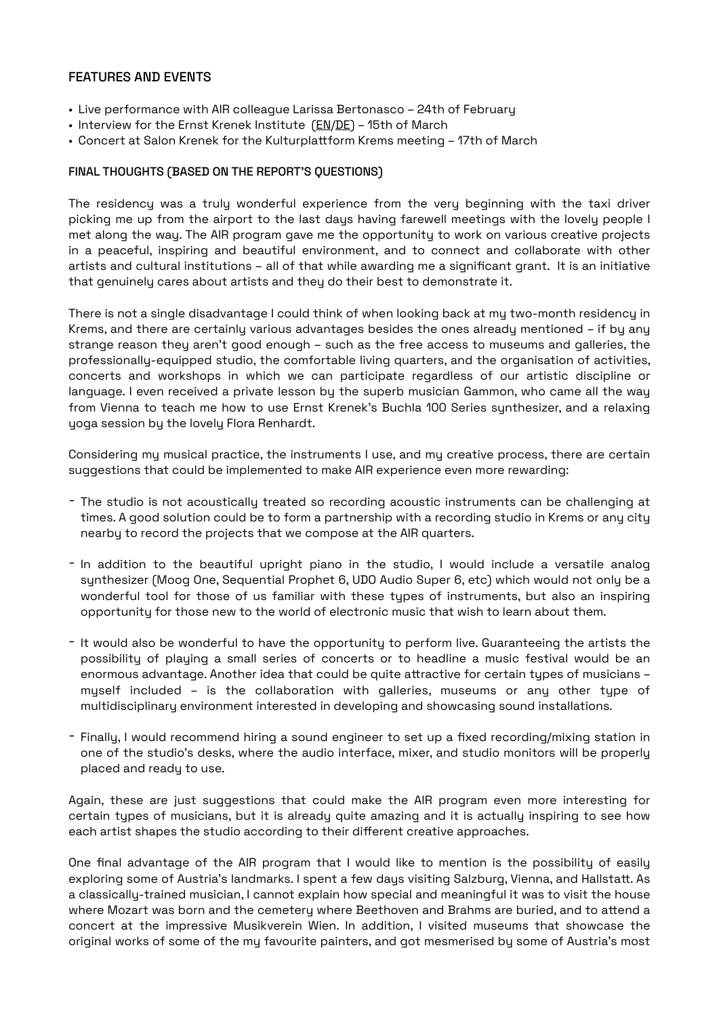## FEATURES AND EVENTS

- Live performance with AIR colleague Larissa Bertonasco 24th of February
- Interview for the Ernst Krenek Institute ([EN](https://www.krenek.at/en/news/interview-sergio-diaz-de-rojas)/[DE](https://www.krenek.at/news/interview-sergio-diaz-de-rojas)) 15th of March
- Concert at Salon Krenek for the Kulturplatform Krems meeting 17th of March

## FINAL THOUGHTS (BASED ON THE REPORT'S QUESTIONS)

The residency was a truly wonderful experience from the very beginning with the taxi driver picking me up from the airport to the last days having farewell meetings with the lovely people I met along the way. The AIR program gave me the opportunity to work on various creative projects in a peaceful, inspiring and beautiful environment, and to connect and collaborate with other artists and cultural institutions – all of that while awarding me a significant grant. It is an initiative that genuinely cares about artists and they do their best to demonstrate it.

There is not a single disadvantage I could think of when looking back at my two-month residency in Krems, and there are certainly various advantages besides the ones already mentioned – if by any strange reason they aren't good enough – such as the free access to museums and galleries, the professionally-equipped studio, the comfortable living quarters, and the organisation of activities, concerts and workshops in which we can participate regardless of our artistic discipline or language. I even received a private lesson by the superb musician Gammon, who came all the way from Vienna to teach me how to use Ernst Krenek's Buchla 100 Series synthesizer, and a relaxing yoga session by the lovely Flora Renhardt.

Considering my musical practice, the instruments I use, and my creative process, there are certain suggestions that could be implemented to make AIR experience even more rewarding:

- The studio is not acoustically treated so recording acoustic instruments can be challenging at times. A good solution could be to form a partnership with a recording studio in Krems or any city nearby to record the projects that we compose at the AIR quarters.
- In addition to the beautiful upright piano in the studio, I would include a versatile analog synthesizer (Moog One, Sequential Prophet 6, UDO Audio Super 6, etc) which would not only be a wonderful tool for those of us familiar with these types of instruments, but also an inspiring opportunity for those new to the world of electronic music that wish to learn about them.
- It would also be wonderful to have the opportunity to perform live. Guaranteeing the artists the possibility of playing a small series of concerts or to headline a music festival would be an enormous advantage. Another idea that could be quite atractive for certain types of musicians – myself included – is the collaboration with galleries, museums or any other type of multidisciplinary environment interested in developing and showcasing sound installations.
- Finally, I would recommend hiring a sound engineer to set up a fixed recording/mixing station in one of the studio's desks, where the audio interface, mixer, and studio monitors will be properly placed and ready to use.

Again, these are just suggestions that could make the AIR program even more interesting for certain types of musicians, but it is already quite amazing and it is actually inspiring to see how each artist shapes the studio according to their different creative approaches.

One final advantage of the AIR program that I would like to mention is the possibility of easily exploring some of Austria's landmarks. I spent a few days visiting Salzburg, Vienna, and Hallstatt. As a classically-trained musician, I cannot explain how special and meaningful it was to visit the house where Mozart was born and the cemetery where Beethoven and Brahms are buried, and to attend a concert at the impressive Musikverein Wien. In addition, I visited museums that showcase the original works of some of the my favourite painters, and got mesmerised by some of Austria's most